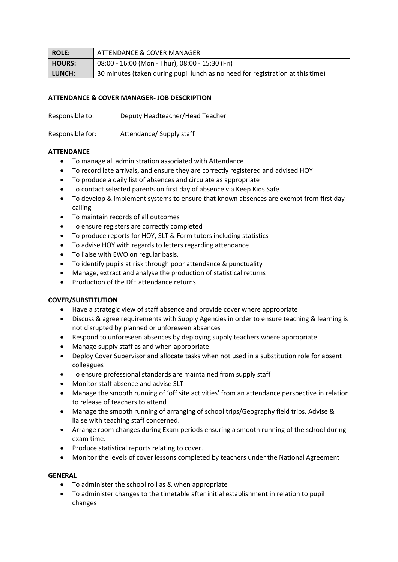| ROLE:         | ATTENDANCE & COVER MANAGER                                                     |
|---------------|--------------------------------------------------------------------------------|
| <b>HOURS:</b> | 08:00 - 16:00 (Mon - Thur), 08:00 - 15:30 (Fri)                                |
| LUNCH:        | 30 minutes (taken during pupil lunch as no need for registration at this time) |

## **ATTENDANCE & COVER MANAGER- JOB DESCRIPTION**

Responsible to: Deputy Headteacher/Head Teacher

Responsible for: Attendance/ Supply staff

## **ATTENDANCE**

- To manage all administration associated with Attendance
- To record late arrivals, and ensure they are correctly registered and advised HOY
- To produce a daily list of absences and circulate as appropriate
- To contact selected parents on first day of absence via Keep Kids Safe
- To develop & implement systems to ensure that known absences are exempt from first day calling
- To maintain records of all outcomes
- To ensure registers are correctly completed
- To produce reports for HOY, SLT & Form tutors including statistics
- To advise HOY with regards to letters regarding attendance
- To liaise with EWO on regular basis.
- To identify pupils at risk through poor attendance & punctuality
- Manage, extract and analyse the production of statistical returns
- Production of the DfE attendance returns

## **COVER/SUBSTITUTION**

- Have a strategic view of staff absence and provide cover where appropriate
- Discuss & agree requirements with Supply Agencies in order to ensure teaching & learning is not disrupted by planned or unforeseen absences
- Respond to unforeseen absences by deploying supply teachers where appropriate
- Manage supply staff as and when appropriate
- Deploy Cover Supervisor and allocate tasks when not used in a substitution role for absent colleagues
- To ensure professional standards are maintained from supply staff
- Monitor staff absence and advise SLT
- Manage the smooth running of 'off site activities' from an attendance perspective in relation to release of teachers to attend
- Manage the smooth running of arranging of school trips/Geography field trips. Advise & liaise with teaching staff concerned.
- Arrange room changes during Exam periods ensuring a smooth running of the school during exam time.
- Produce statistical reports relating to cover.
- Monitor the levels of cover lessons completed by teachers under the National Agreement

## **GENERAL**

- To administer the school roll as & when appropriate
- To administer changes to the timetable after initial establishment in relation to pupil changes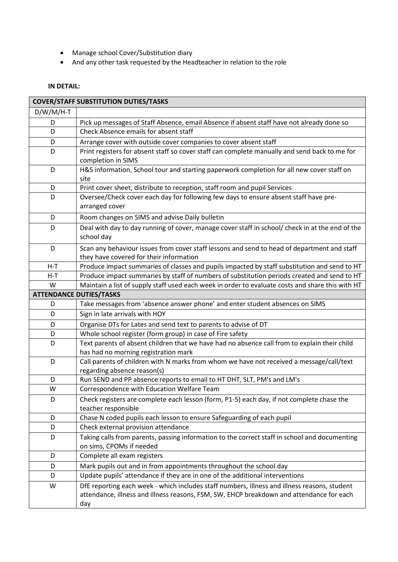- Manage school Cover/Substitution diary
- And any other task requested by the Headteacher in relation to the role

# **IN DETAIL:**

| <b>COVER/STAFF SUBSTITUTION DUTIES/TASKS</b> |                                                                                                                                                                                                 |  |
|----------------------------------------------|-------------------------------------------------------------------------------------------------------------------------------------------------------------------------------------------------|--|
| $D/W/M/H-T$                                  |                                                                                                                                                                                                 |  |
| D                                            | Pick up messages of Staff Absence, email Absence if absent staff have not already done so                                                                                                       |  |
| D                                            | Check Absence emails for absent staff                                                                                                                                                           |  |
| D                                            | Arrange cover with outside cover companies to cover absent staff                                                                                                                                |  |
| D                                            | Print registers for absent staff so cover staff can complete manually and send back to me for<br>completion in SIMS                                                                             |  |
| D                                            | H&S information, School tour and starting paperwork completion for all new cover staff on<br>site                                                                                               |  |
| D                                            | Print cover sheet, distribute to reception, staff room and pupil Services                                                                                                                       |  |
| D                                            | Oversee/Check cover each day for following few days to ensure absent staff have pre-<br>arranged cover                                                                                          |  |
| D                                            | Room changes on SIMS and advise Daily bulletin                                                                                                                                                  |  |
| D                                            | Deal with day to day running of cover, manage cover staff in school/ check in at the end of the<br>school day                                                                                   |  |
| D                                            | Scan any behaviour issues from cover staff lessons and send to head of department and staff<br>they have covered for their information                                                          |  |
| $H-T$                                        | Produce impact summaries of classes and pupils impacted by staff substitution and send to HT                                                                                                    |  |
| $H-T$                                        | Produce impact summaries by staff of numbers of substitution periods created and send to HT                                                                                                     |  |
| W                                            | Maintain a list of supply staff used each week in order to evaluate costs and share this with HT                                                                                                |  |
|                                              | <b>ATTENDANCE DUTIES/TASKS</b>                                                                                                                                                                  |  |
| D                                            | Take messages from 'absence answer phone' and enter student absences on SIMS                                                                                                                    |  |
| D                                            | Sign in late arrivals with HOY                                                                                                                                                                  |  |
| D                                            | Organise DTs for Lates and send text to parents to advise of DT                                                                                                                                 |  |
| D                                            | Whole school register (form group) in case of Fire safety                                                                                                                                       |  |
| D                                            | Text parents of absent children that we have had no absence call from to explain their child<br>has had no morning registration mark                                                            |  |
| D                                            | Call parents of children with N marks from whom we have not received a message/call/text<br>regarding absence reason(s)                                                                         |  |
| D                                            | Run SEND and PP absence reports to email to HT DHT, SLT, PM's and LM's                                                                                                                          |  |
| W                                            | Correspondence with Education Welfare Team                                                                                                                                                      |  |
| D                                            | Check registers are complete each lesson (form, P1-5) each day, if not complete chase the<br>teacher responsible                                                                                |  |
| D                                            | Chase N coded pupils each lesson to ensure Safeguarding of each pupil                                                                                                                           |  |
| D                                            | Check external provision attendance                                                                                                                                                             |  |
| D                                            | Taking calls from parents, passing information to the correct staff in school and documenting<br>on sims, CPOMs if needed                                                                       |  |
| D                                            | Complete all exam registers                                                                                                                                                                     |  |
| D                                            | Mark pupils out and in from appointments throughout the school day                                                                                                                              |  |
| D                                            | Update pupils' attendance if they are in one of the additional interventions                                                                                                                    |  |
| W                                            | DfE reporting each week - which includes staff numbers, illness and illness reasons, student<br>attendance, illness and illness reasons, FSM, SW, EHCP breakdown and attendance for each<br>day |  |